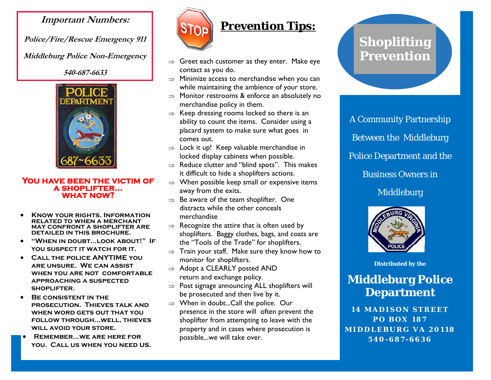#### **Important Numbers:**

**Police/Fire/Rescue Emergency 911** 

**Middleburg Police Non-Emergency** 

**540-687-6633** 



**You have been the victim of a shoplifter… what now?** 

- **Know your rights. Information related to when a merchant may confront a shoplifter are detailed in this brochure.**
- **"When in doubt...look about!" If**  YOU SUSPECT IT WATCH FOR **IT.**
- **Call the police ANYTIME you are unsure. We can assist when you are not comfortable approaching a suspected shoplifter.**
- **Be consistent in the prosecution. Thieves talk and when word gets out that you follow through...well, thieves will avoid your store.**
- **Remember...we are here for you. Call us when you need us.**



### **Prevention Tips:**

- $\Rightarrow$  Greet each customer as they enter. Make eye contact as you do.
- $\Rightarrow$  Minimize access to merchandise when you can while maintaining the ambience of your store.
- <sup>⇒</sup>Monitor restrooms & enforce an absolutely no merchandise policy in them.
- $\Rightarrow$  Keep dressing rooms locked so there is an ability to count the items. Consider using a placard system to make sure what goes in comes out.
- $\Rightarrow$  Lock it up! Keep valuable merchandise in locked display cabinets when possible.
- $\Rightarrow$  Reduce clutter and "blind spots". This makes it difficult to hide a shoplifters actions.
- <sup>⇒</sup>When possible keep small or expensive items away from the exits.
- $\Rightarrow$  Be aware of the team shoplifter. One distracts while the other conceals merchandise
- $\Rightarrow$  Recognize the attire that is often used by shoplifters. Baggy clothes, bags, and coats are the "Tools of the Trade" for shoplifters.
- $\Rightarrow$  Train your staff. Make sure they know how to monitor for shoplifters.
- $\Rightarrow$  Adopt a CLEARLY posted AND return and exchange policy.
- $\Rightarrow$  Post signage announcing ALL shoplifters will be prosecuted and then live by it.
- <sup>⇒</sup>When in doubt...Call the police. Our presence in the store will often prevent the shoplifter from attempting to leave with the property and in cases where prosecution is possible...we will take over.

# **Shoplifting Prevention**

A Community Partnership Between the Middleburg Police Department and the Business Owners in Middleburg



**Distributed by the** 

## **Middleburg Police Department**

**14 MADISON STREET PO BOX 187 MIDDLEBURG VA 20118 540-687-6636**